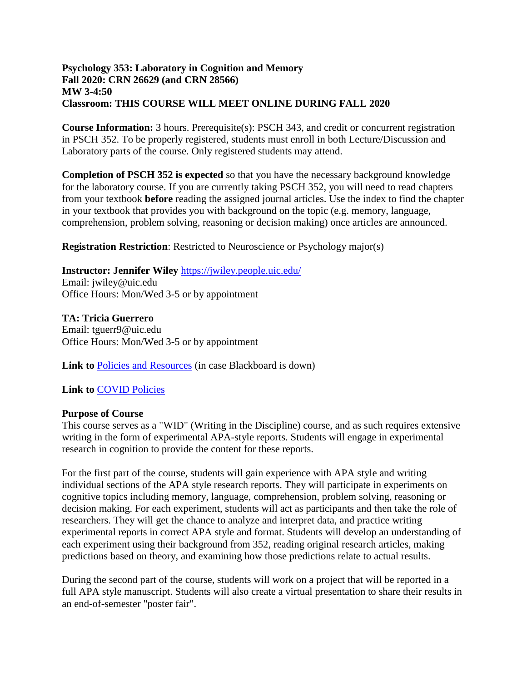#### **Psychology 353: Laboratory in Cognition and Memory Fall 2020: CRN 26629 (and CRN 28566) MW 3-4:50 Classroom: THIS COURSE WILL MEET ONLINE DURING FALL 2020**

**Course Information:** 3 hours. Prerequisite(s): PSCH 343, and credit or concurrent registration in PSCH 352. To be properly registered, students must enroll in both Lecture/Discussion and Laboratory parts of the course. Only registered students may attend.

**Completion of PSCH 352 is expected** so that you have the necessary background knowledge for the laboratory course. If you are currently taking PSCH 352, you will need to read chapters from your textbook **before** reading the assigned journal articles. Use the index to find the chapter in your textbook that provides you with background on the topic (e.g. memory, language, comprehension, problem solving, reasoning or decision making) once articles are announced.

**Registration Restriction:** Restricted to Neuroscience or Psychology major(s)

**Instructor: Jennifer Wiley** <https://jwiley.people.uic.edu/> Email: jwiley@uic.edu Office Hours: Mon/Wed 3-5 or by appointment

**TA: Tricia Guerrero** Email: tguerr9@uic.edu Office Hours: Mon/Wed 3-5 or by appointment

Link to [Policies and Resources](http://wiley.lsri.uic.edu/psch353/POLICIES_AND_RESOURCES.pdf) (in case Blackboard is down)

**Link to** [COVID Policies](http://wiley.lsri.uic.edu/psch353/COVID353.pdf)

#### **Purpose of Course**

This course serves as a "WID" (Writing in the Discipline) course, and as such requires extensive writing in the form of experimental APA-style reports. Students will engage in experimental research in cognition to provide the content for these reports.

For the first part of the course, students will gain experience with APA style and writing individual sections of the APA style research reports. They will participate in experiments on cognitive topics including memory, language, comprehension, problem solving, reasoning or decision making. For each experiment, students will act as participants and then take the role of researchers. They will get the chance to analyze and interpret data, and practice writing experimental reports in correct APA style and format. Students will develop an understanding of each experiment using their background from 352, reading original research articles, making predictions based on theory, and examining how those predictions relate to actual results.

During the second part of the course, students will work on a project that will be reported in a full APA style manuscript. Students will also create a virtual presentation to share their results in an end-of-semester "poster fair".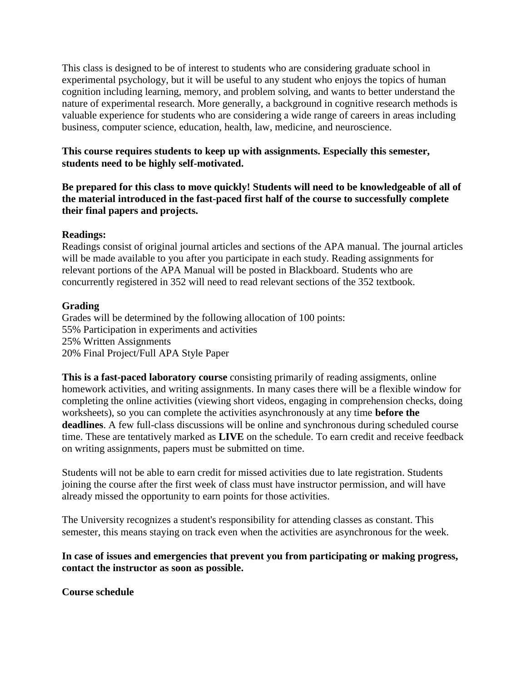This class is designed to be of interest to students who are considering graduate school in experimental psychology, but it will be useful to any student who enjoys the topics of human cognition including learning, memory, and problem solving, and wants to better understand the nature of experimental research. More generally, a background in cognitive research methods is valuable experience for students who are considering a wide range of careers in areas including business, computer science, education, health, law, medicine, and neuroscience.

## **This course requires students to keep up with assignments. Especially this semester, students need to be highly self-motivated.**

**Be prepared for this class to move quickly! Students will need to be knowledgeable of all of the material introduced in the fast-paced first half of the course to successfully complete their final papers and projects.** 

### **Readings:**

Readings consist of original journal articles and sections of the APA manual. The journal articles will be made available to you after you participate in each study. Reading assignments for relevant portions of the APA Manual will be posted in Blackboard. Students who are concurrently registered in 352 will need to read relevant sections of the 352 textbook.

#### **Grading**

Grades will be determined by the following allocation of 100 points: 55% Participation in experiments and activities 25% Written Assignments 20% Final Project/Full APA Style Paper

**This is a fast-paced laboratory course** consisting primarily of reading assigments, online homework activities, and writing assignments. In many cases there will be a flexible window for completing the online activities (viewing short videos, engaging in comprehension checks, doing worksheets), so you can complete the activities asynchronously at any time **before the deadlines**. A few full-class discussions will be online and synchronous during scheduled course time. These are tentatively marked as **LIVE** on the schedule. To earn credit and receive feedback on writing assignments, papers must be submitted on time.

Students will not be able to earn credit for missed activities due to late registration. Students joining the course after the first week of class must have instructor permission, and will have already missed the opportunity to earn points for those activities.

The University recognizes a student's responsibility for attending classes as constant. This semester, this means staying on track even when the activities are asynchronous for the week.

### **In case of issues and emergencies that prevent you from participating or making progress, contact the instructor as soon as possible.**

# **Course schedule**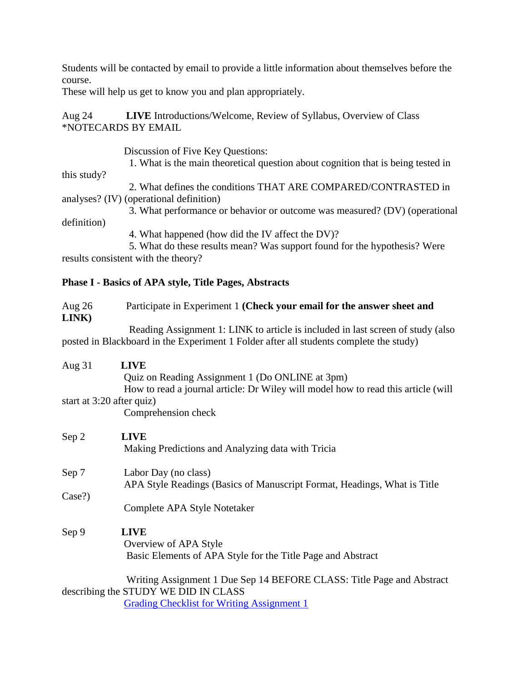Students will be contacted by email to provide a little information about themselves before the course.

These will help us get to know you and plan appropriately.

Aug 24 **LIVE** Introductions/Welcome, Review of Syllabus, Overview of Class \*NOTECARDS BY EMAIL

Discussion of Five Key Questions:

1. What is the main theoretical question about cognition that is being tested in

this study?

 2. What defines the conditions THAT ARE COMPARED/CONTRASTED in analyses? (IV) (operational definition)

 3. What performance or behavior or outcome was measured? (DV) (operational definition)

4. What happened (how did the IV affect the DV)?

 5. What do these results mean? Was support found for the hypothesis? Were results consistent with the theory?

### **Phase I - Basics of APA style, Title Pages, Abstracts**

| Aug $26$<br>LINK) | Participate in Experiment 1 (Check your email for the answer sheet and                                                                                                    |
|-------------------|---------------------------------------------------------------------------------------------------------------------------------------------------------------------------|
|                   | Reading Assignment 1: LINK to article is included in last screen of study (also<br>posted in Blackboard in the Experiment 1 Folder after all students complete the study) |
|                   |                                                                                                                                                                           |
| Aug $31$          | <b>LIVE</b><br>Quiz on Reading Assignment 1 (Do ONLINE at 3pm)<br>How to read a journal article: Dr Wiley will model how to read this article (will                       |
|                   | start at 3:20 after quiz)                                                                                                                                                 |
|                   | Comprehension check                                                                                                                                                       |
| Sep 2             | <b>LIVE</b>                                                                                                                                                               |
|                   | Making Predictions and Analyzing data with Tricia                                                                                                                         |
| Sep 7             | Labor Day (no class)                                                                                                                                                      |
|                   | APA Style Readings (Basics of Manuscript Format, Headings, What is Title                                                                                                  |
| Case?)            |                                                                                                                                                                           |
|                   | Complete APA Style Notetaker                                                                                                                                              |
| Sep 9             | <b>LIVE</b>                                                                                                                                                               |
|                   | Overview of APA Style                                                                                                                                                     |
|                   | Basic Elements of APA Style for the Title Page and Abstract                                                                                                               |
|                   | Writing Assignment 1 Due Sep 14 BEFORE CLASS: Title Page and Abstract                                                                                                     |
|                   | describing the STUDY WE DID IN CLASS                                                                                                                                      |
|                   | <b>Grading Checklist for Writing Assignment 1</b>                                                                                                                         |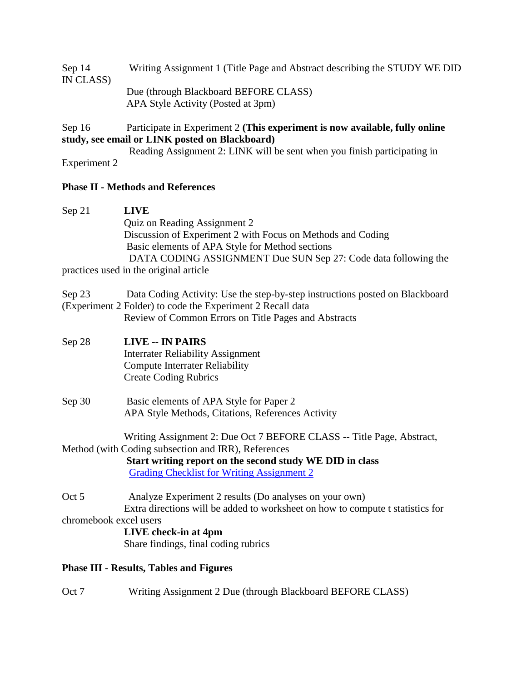| Sep 14    | Writing Assignment 1 (Title Page and Abstract describing the STUDY WE DID |
|-----------|---------------------------------------------------------------------------|
| IN CLASS) |                                                                           |
|           | Due (through Blackboard BEFORE CLASS)                                     |
|           | APA Style Activity (Posted at 3pm)                                        |

Sep 16 Participate in Experiment 2 **(This experiment is now available, fully online study, see email or LINK posted on Blackboard)**

 Reading Assignment 2: LINK will be sent when you finish participating in Experiment 2

### **Phase II - Methods and References**

| Sep 21 | <b>LIVE</b>                                                    |
|--------|----------------------------------------------------------------|
|        | Quiz on Reading Assignment 2                                   |
|        | Discussion of Experiment 2 with Focus on Methods and Coding    |
|        | Basic elements of APA Style for Method sections                |
|        | DATA CODING ASSIGNMENT Due SUN Sep 27: Code data following the |
|        | practices used in the original article                         |

| Sep 23 | Data Coding Activity: Use the step-by-step instructions posted on Blackboard |
|--------|------------------------------------------------------------------------------|
|        | (Experiment 2 Folder) to code the Experiment 2 Recall data                   |
|        | Review of Common Errors on Title Pages and Abstracts                         |

| Sep 28 | <b>LIVE -- IN PAIRS</b>                  |
|--------|------------------------------------------|
|        | <b>Interrater Reliability Assignment</b> |
|        | Compute Interrater Reliability           |
|        | <b>Create Coding Rubrics</b>             |

Sep 30 Basic elements of APA Style for Paper 2 APA Style Methods, Citations, References Activity

 Writing Assignment 2: Due Oct 7 BEFORE CLASS -- Title Page, Abstract, Method (with Coding subsection and IRR), References

 **Start writing report on the second study WE DID in class** [Grading Checklist for Writing Assignment 2](http://wiley.lsri.uic.edu/psch353/gradesheet2_F20.doc)

Oct 5 Analyze Experiment 2 results (Do analyses on your own) Extra directions will be added to worksheet on how to compute t statistics for

chromebook excel users

 **LIVE check-in at 4pm** Share findings, final coding rubrics

# **Phase III - Results, Tables and Figures**

Oct 7 Writing Assignment 2 Due (through Blackboard BEFORE CLASS)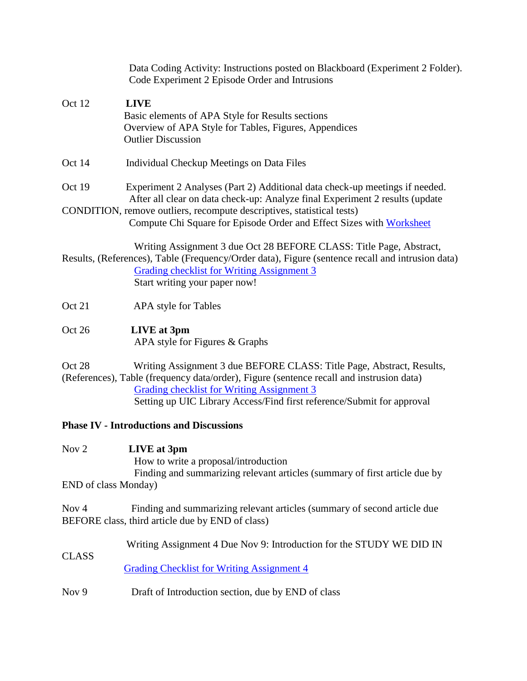|        | Data Coding Activity: Instructions posted on Blackboard (Experiment 2 Folder).<br>Code Experiment 2 Episode Order and Intrusions                                                                                                                                                                              |
|--------|---------------------------------------------------------------------------------------------------------------------------------------------------------------------------------------------------------------------------------------------------------------------------------------------------------------|
| Oct 12 | <b>LIVE</b><br>Basic elements of APA Style for Results sections<br>Overview of APA Style for Tables, Figures, Appendices<br><b>Outlier Discussion</b>                                                                                                                                                         |
| Oct 14 | Individual Checkup Meetings on Data Files                                                                                                                                                                                                                                                                     |
| Oct 19 | Experiment 2 Analyses (Part 2) Additional data check-up meetings if needed.<br>After all clear on data check-up: Analyze final Experiment 2 results (update<br>CONDITION, remove outliers, recompute descriptives, statistical tests)<br>Compute Chi Square for Episode Order and Effect Sizes with Worksheet |
|        | Writing Assignment 3 due Oct 28 BEFORE CLASS: Title Page, Abstract,<br>Results, (References), Table (Frequency/Order data), Figure (sentence recall and intrusion data)<br><b>Grading checklist for Writing Assignment 3</b><br>Start writing your paper now!                                                 |
| Oct 21 | APA style for Tables                                                                                                                                                                                                                                                                                          |
| Oct 26 | LIVE at 3pm<br>APA style for Figures & Graphs                                                                                                                                                                                                                                                                 |
| Oct 28 | Writing Assignment 3 due BEFORE CLASS: Title Page, Abstract, Results,<br>(References), Table (frequency data/order), Figure (sentence recall and instrusion data)<br><b>Grading checklist for Writing Assignment 3</b>                                                                                        |

# Setting up UIC Library Access/Find first reference/Submit for approval

# **Phase IV - Introductions and Discussions**

Nov 2 **LIVE at 3pm** How to write a proposal/introduction Finding and summarizing relevant articles (summary of first article due by END of class Monday)

Nov 4 Finding and summarizing relevant articles (summary of second article due BEFORE class, third article due by END of class)

| <b>CLASS</b> | Writing Assignment 4 Due Nov 9: Introduction for the STUDY WE DID IN |
|--------------|----------------------------------------------------------------------|
|              | <b>Grading Checklist for Writing Assignment 4</b>                    |
| Nov $9$      | Draft of Introduction section, due by END of class                   |